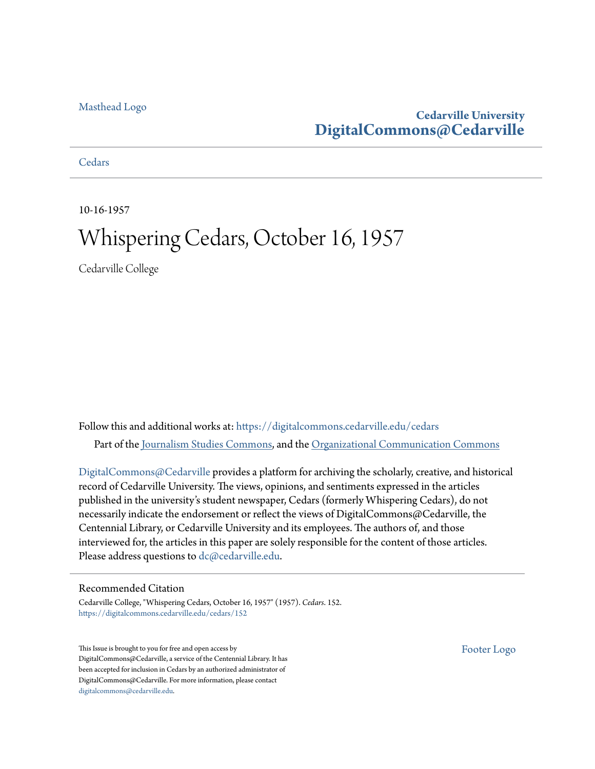#### [Masthead Logo](http://www.cedarville.edu/?utm_source=digitalcommons.cedarville.edu%2Fcedars%2F152&utm_medium=PDF&utm_campaign=PDFCoverPages)

### **Cedarville University [DigitalCommons@Cedarville](https://digitalcommons.cedarville.edu?utm_source=digitalcommons.cedarville.edu%2Fcedars%2F152&utm_medium=PDF&utm_campaign=PDFCoverPages)**

**[Cedars](https://digitalcommons.cedarville.edu/cedars?utm_source=digitalcommons.cedarville.edu%2Fcedars%2F152&utm_medium=PDF&utm_campaign=PDFCoverPages)** 

10-16-1957

## Whispering Cedars, October 16, 1957

Cedarville College

Follow this and additional works at: [https://digitalcommons.cedarville.edu/cedars](https://digitalcommons.cedarville.edu/cedars?utm_source=digitalcommons.cedarville.edu%2Fcedars%2F152&utm_medium=PDF&utm_campaign=PDFCoverPages) Part of the [Journalism Studies Commons](http://network.bepress.com/hgg/discipline/333?utm_source=digitalcommons.cedarville.edu%2Fcedars%2F152&utm_medium=PDF&utm_campaign=PDFCoverPages), and the [Organizational Communication Commons](http://network.bepress.com/hgg/discipline/335?utm_source=digitalcommons.cedarville.edu%2Fcedars%2F152&utm_medium=PDF&utm_campaign=PDFCoverPages)

[DigitalCommons@Cedarville](http://digitalcommons.cedarville.edu/) provides a platform for archiving the scholarly, creative, and historical record of Cedarville University. The views, opinions, and sentiments expressed in the articles published in the university's student newspaper, Cedars (formerly Whispering Cedars), do not necessarily indicate the endorsement or reflect the views of DigitalCommons@Cedarville, the Centennial Library, or Cedarville University and its employees. The authors of, and those interviewed for, the articles in this paper are solely responsible for the content of those articles. Please address questions to [dc@cedarville.edu.](mailto:dc@cedarville.edu)

#### Recommended Citation

Cedarville College, "Whispering Cedars, October 16, 1957" (1957). *Cedars*. 152. [https://digitalcommons.cedarville.edu/cedars/152](https://digitalcommons.cedarville.edu/cedars/152?utm_source=digitalcommons.cedarville.edu%2Fcedars%2F152&utm_medium=PDF&utm_campaign=PDFCoverPages)

This Issue is brought to you for free and open access by DigitalCommons@Cedarville, a service of the Centennial Library. It has been accepted for inclusion in Cedars by an authorized administrator of DigitalCommons@Cedarville. For more information, please contact [digitalcommons@cedarville.edu](mailto:digitalcommons@cedarville.edu).

[Footer Logo](http://www.cedarville.edu/Academics/Library.aspx?utm_source=digitalcommons.cedarville.edu%2Fcedars%2F152&utm_medium=PDF&utm_campaign=PDFCoverPages)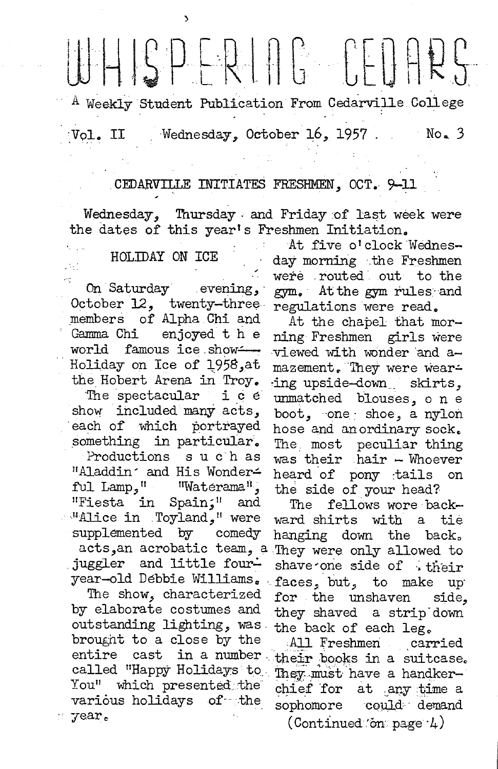# $||\cdot|| \cdot ||S|| \cap \mathbb{R} \cup \mathbb{R}$  is a contributed by

 $^{\textrm{A}}$  Weekly Student Publication From Cedarville College

Vol. II Wednesday, October 16, 1957 No. 3

#### CEDARVILLE INITIATES FRESHMEN, OCT. 9-11

Wednesday, Thursday . and Friday of last week were the dates of this year's Freshmen Initiation.

JV.

)

October 12, twenty-three regulations were read.<br>members of Alpha Chi and At the chapel that m members of Alpha Chi and At the chapel that mor-<br>Gamma Chi enjoyed the ring Freshmen girls were Gamma Chi enjoyed t h e ning Freshmen girls were<br>world famous ice show -- wiewed with wonder and a world famous ice show  $\rightarrow$  viewed with wonder and a-Holiday on Ice of 1958,at mazement. They were wear-

show included many acts, boot, one shoe, a nylon each of which portrayed hose and an ordinary sock.<br>something in particular. The most peculiar thing Productions such as "Aladdin' and His Wonder- heard of pony :tails on<br>ful Lamp," "Waterama", the side of your head? "Fiesta in Spain;" and The fellows wore back-<br>"Alice in Toyland," were ward shirts with a tie. .  $H$  ice in . Toyland," were ward shirts with a tie supplemented by comedy hanging down the back. acts,an acrobatic team, a They were only allowed to juggler and little four- shave one side of . their

by elaborate costumes and they shaved a strip down outstanding lighting, was· the back of each leg., brought to a close by the .All Freshmen carried entire cast in a number. called "Happy Holidays to iney must have a handker-You" which presented the chief for at any time a various holidays of the sophomore could demand  $\mathcal{F}$  year.

At five o'clock Wednes-HOLIDAY ON ICE day morning .the Freshmen were .routed out to the On Saturday evening, gym. At the gym rules and

the Hobert Arena in Troy. ing upside-down skirts, The spectacular  $i$  c  $e$  unmatched blouses, o n e The most peculiar thing was their hair - Whoever the side of your head?

hanging down the back. year-old Debbie Williams. faces, but, to make up The show, characterized for the unshaven side.

their books in a suitcase.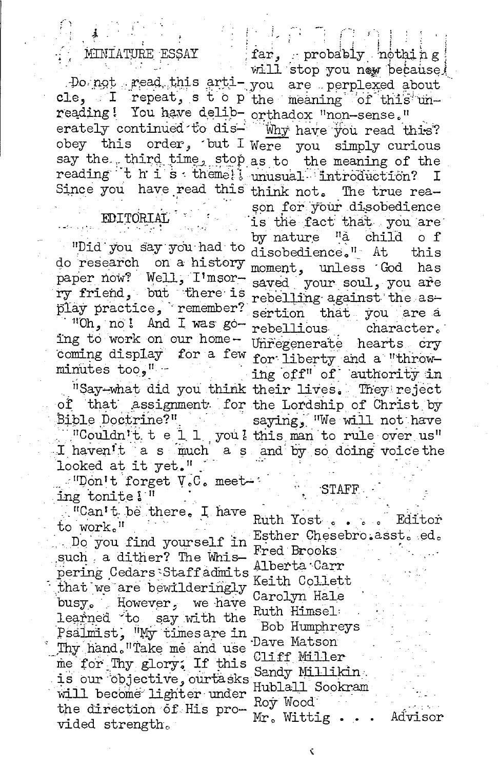#### MINIATURE ESSAY

reading! You have delib- orthadox "non-sense." erately continued to dis- Mhy have you read this? obey this order, but I Were you simply curious say the third time, stop as to the meaning of the reading the is theme!! unusual introduction?

#### EDITORTAT

"Did you say you had to do research on a history paper now? Well, I'msorry friend, but there is play practice, remember?

"Oh, no! And I was going to work on our homecoming display for a few minutes too." -

of that assignment for the Lordship of Christ by Bible Doctrine?"

looked at it yet."

 $\mathbb{E}^{\text{II}}$  Don't forget V.C. meet : ing tonite!"

. "Can't be there. I have to work."

Do you find yourself in such a dither? The Whispering Cedars Staffadmits that we are bewilderingly busy. However, we have learned to say with the Psalmist, "My timesare in Thy hand. "Take me and use me for Thy glory. If this is our objective, ourtasks will become lighter under the direction of His provided strength.

far, probably nothing will stop you now because! Do not read this arti-you are perplexed about cle, I repeat, s t o p the meaning of this un-

Ι Since you have read this think not. The true reason for your disobedience is the fact that you are by nature "à child of disobedience." At this moment, unless God has saved your soul, you are rebelling against the assertion that you are a rebellious character. Unregenerate hearts cry for liberty and a "throwing off" of authority in "Say-what did you think their lives. They reject saying, "We will not have "Couldn't tell, you this man to rule over us" I haven't a s much a s and by so doing voice the

#### STAFF

Ruth Yost . . . . Editor Esther Chesebro.asst. ed. Fred Brooks Alberta Carr Keith Collett Carolyn Hale Ruth Himsel: Bob Humphreys Dave Matson Cliff Miller Sandy Millikin Hublall Sookram Roy Wood Mr. Wittig.. Advisor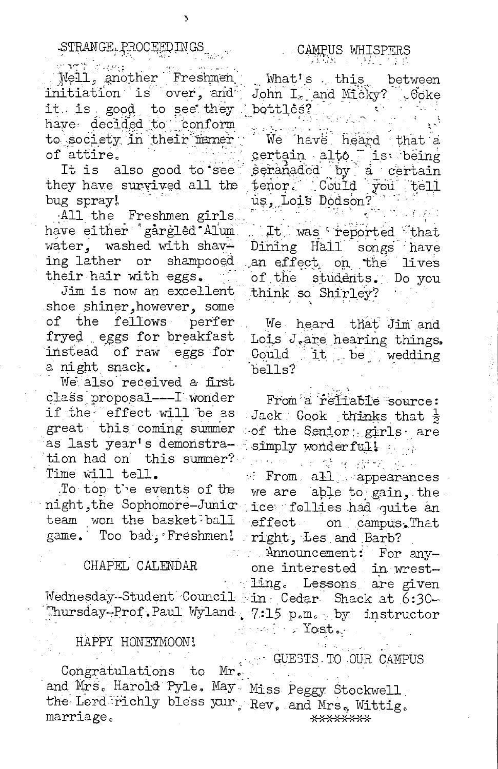$\sim 10^{12}$  . Well, another Freshmen initiation is over, and it is good to see they have decided to conform to society in their maner of attire.

It is also good to see they have survived all the bug spray!

All the Freshmen girls have either 'gargled Alum water, washed with shaving lather or shampooed their hair with eggs.

Jim is now an excellent shoe shiner, however, some of the fellows perfer fryed eggs for breakfast instead of raw eggs for a night snack.

We also received a first class proposal --- I wonder if the effect will be as great this coming summer as last year's demonstration had on this summer? Time will tell.

To top the events of the night, the Sophomore-Junic ice follies had quite an team won the basket<sup>2</sup>ball game. Too bad, Freshmen!

#### CHAPEL CALENDAR

#### HAPPY HONEYMOON!

Congratulations to Mr. and Mrs. Harold Pyle. May Miss Peggy Stockwell the Lord richly bless your. Rev, and Mrs. Wittig. marriage. \*\*\*\*\*\*\*\*

## CAMPUS WHISPERS

What's this between John I<sub>s</sub> and Micky? Goke bottles?

We have heard that a certain alto is being<br>seranaded by a certain tenor. Could you tell us, Lois Dodson?

It was reported that Dining Hall songs have an effect, on the lives of the students. Do you think so Shirley?

We heard that Jim and Lois J.are hearing things. Could it be wedding bells?

From a refiable source: Jack:  $Gook$  thinks that  $\frac{1}{2}$ of the Senior girls are simply wonderfull and

ਾ <sup>ਹੈ</sup> ਕਿ ਵੱਲ ਵਿਰਵਾਸ ਰੁਪਤ f From all appearances we are able to gain, the effect on campus. That right, Les and Barb?

Announcement: For any- $\sigma^{\mu\nu}$  . one interested in wrestling. Lessons are given Wednesday-Student Council in Cedar Shack at 6:30-Thursday-Prof. Paul Wyland. 7:15 p.m. by instructor  $\cdots$  . Tost .

GUESTS TO OUR CAMPUS